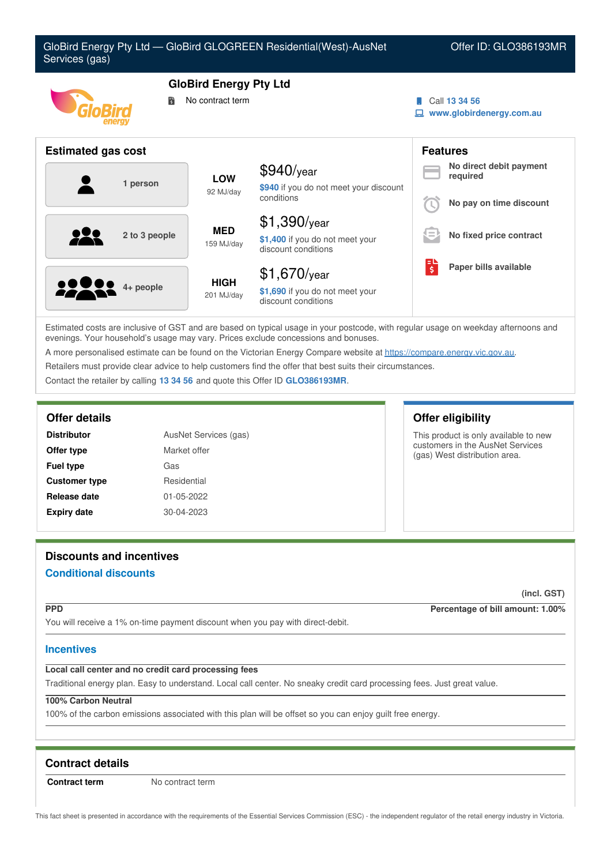

Estimated costs are inclusive of GST and are based on typical usage in your postcode, with regular usage on weekday afternoons and evenings. Your household's usage may vary. Prices exclude concessions and bonuses.

A more personalised estimate can be found on the Victorian Energy Compare website at <https://compare.energy.vic.gov.au>.

Retailers must provide clear advice to help customers find the offer that best suits their circumstances.

Contact the retailer by calling **13 34 56** and quote this Offer ID **GLO386193MR**.

### **Offer details Offer eligibility**

| <b>Distributor</b>   | AusNet Services (gas) |
|----------------------|-----------------------|
| Offer type           | Market offer          |
| <b>Fuel type</b>     | Gas                   |
| <b>Customer type</b> | Residential           |
| Release date         | 01-05-2022            |
| <b>Expiry date</b>   | 30-04-2023            |

This product is only available to new customers in the AusNet Services (gas) West distribution area.

# **Discounts and incentives**

# **Conditional discounts**

**(incl. GST)**

**PPD Percentage of bill amount: 1.00%**

You will receive a 1% on-time payment discount when you pay with direct-debit.

### **Incentives**

### **Local call center and no credit card processing fees**

Traditional energy plan. Easy to understand. Local call center. No sneaky credit card processing fees. Just great value.

# **100% Carbon Neutral**

100% of the carbon emissions associated with this plan will be offset so you can enjoy guilt free energy.

# **Contract details**

**Contract term** No contract term

This fact sheet is presented in accordance with the requirements of the Essential Services Commission (ESC) - the independent regulator of the retail energy industry in Victoria.